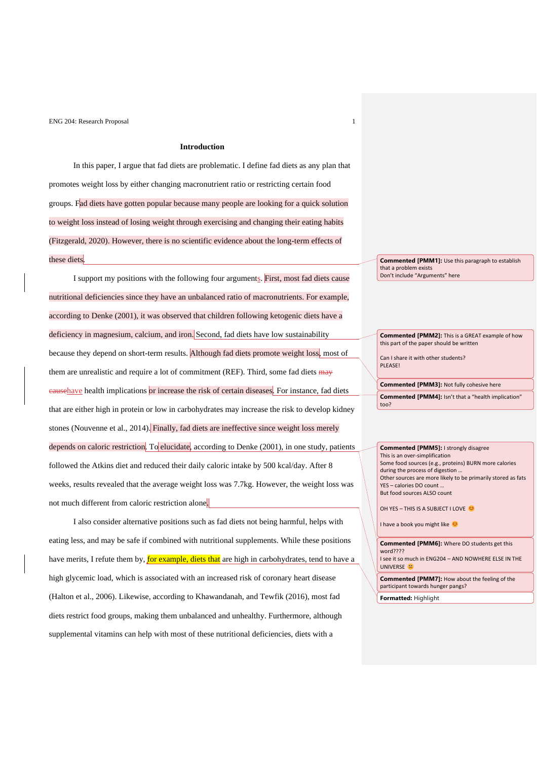## **Introduction**

In this paper, I argue that fad diets are problematic. I define fad diets as any plan that promotes weight loss by either changing macronutrient ratio or restricting certain food groups. Fad diets have gotten popular because many people are looking for a quick solution to weight loss instead of losing weight through exercising and changing their eating habits (Fitzgerald, 2020). However, there is no scientific evidence about the long-term effects of these diets.

I support my positions with the following four arguments. First, most fad diets cause nutritional deficiencies since they have an unbalanced ratio of macronutrients. For example, according to Denke (2001), it was observed that children following ketogenic diets have a deficiency in magnesium, calcium, and iron. Second, fad diets have low sustainability because they depend on short-term results. Although fad diets promote weight loss, most of them are unrealistic and require a lot of commitment (REF). Third, some fad diets may eausehave health implications or increase the risk of certain diseases. For instance, fad diets that are either high in protein or low in carbohydrates may increase the risk to develop kidney stones (Nouvenne et al., 2014). Finally, fad diets are ineffective since weight loss merely depends on caloric restriction. To elucidate, according to Denke (2001), in one study, patients followed the Atkins diet and reduced their daily caloric intake by 500 kcal/day. After 8 weeks, results revealed that the average weight loss was 7.7kg. However, the weight loss was not much different from caloric restriction alone.

I also consider alternative positions such as fad diets not being harmful, helps with eating less, and may be safe if combined with nutritional supplements. While these positions have merits, I refute them by, for example, diets that are high in carbohydrates, tend to have a high glycemic load, which is associated with an increased risk of coronary heart disease (Halton et al., 2006). Likewise, according to Khawandanah, and Tewfik (2016), most fad diets restrict food groups, making them unbalanced and unhealthy. Furthermore, although supplemental vitamins can help with most of these nutritional deficiencies, diets with a

**Commented [PMM1]:** Use this paragraph to establish that a problem exists Don't include "Arguments" here

**Commented [PMM2]:** This is a GREAT example of how this part of the paper should be written

Can I share it with other students? **PLEASE!** 

**Commented [PMM3]:** Not fully cohesive here **Commented [PMM4]:** Isn't that a "health implication" too?

**Commented [PMM5]:** I strongly disagree This is an over-simplification Some food sources (e.g., proteins) BURN more calories during the process of digestion … Other sources are more likely to be primarily stored as fats YES – calories DO count … But food sources ALSO count

OH YES - THIS IS A SUBJECT I LOVE

I have a book you might like

**Commented [PMM6]:** Where DO students get this word???? I see it so much in ENG204 – AND NOWHERE ELSE IN THE UNIVERSE<sup>9</sup>

**Commented [PMM7]:** How about the feeling of the participant towards hunger pangs?

**Formatted:** Highlight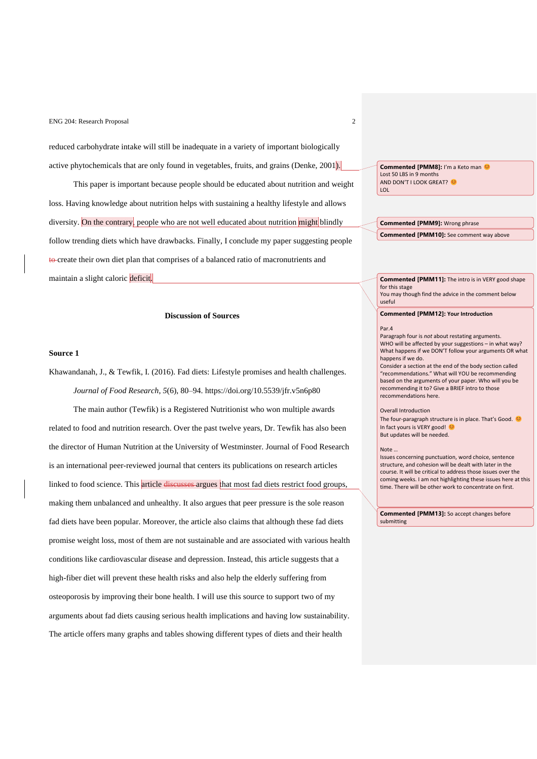reduced carbohydrate intake will still be inadequate in a variety of important biologically active phytochemicals that are only found in vegetables, fruits, and grains (Denke, 2001).

This paper is important because people should be educated about nutrition and weight loss. Having knowledge about nutrition helps with sustaining a healthy lifestyle and allows diversity. On the contrary, people who are not well educated about nutrition might blindly follow trending diets which have drawbacks. Finally, I conclude my paper suggesting people to create their own diet plan that comprises of a balanced ratio of macronutrients and maintain a slight caloric deficit.

#### **Discussion of Sources**

#### **Source 1**

Khawandanah, J., & Tewfik, I. (2016). Fad diets: Lifestyle promises and health challenges. *Journal of Food Research*, *5*(6), 80–94. https://doi.org/10.5539/jfr.v5n6p80

The main author (Tewfik) is a Registered Nutritionist who won multiple awards related to food and nutrition research. Over the past twelve years, Dr. Tewfik has also been the director of Human Nutrition at the University of Westminster. Journal of Food Research is an international peer-reviewed journal that centers its publications on research articles linked to food science. This article discusses argues that most fad diets restrict food groups, making them unbalanced and unhealthy. It also argues that peer pressure is the sole reason fad diets have been popular. Moreover, the article also claims that although these fad diets promise weight loss, most of them are not sustainable and are associated with various health conditions like cardiovascular disease and depression. Instead, this article suggests that a high-fiber diet will prevent these health risks and also help the elderly suffering from osteoporosis by improving their bone health. I will use this source to support two of my arguments about fad diets causing serious health implications and having low sustainability. The article offers many graphs and tables showing different types of diets and their health

**Commented [PMM8]:** I'm a Keto man  $\bullet$ Lost 50 LBS in 9 months AND DON'T I LOOK GREAT? LOL

**Commented [PMM9]:** Wrong phrase **Commented [PMM10]:** See comment way above

**Commented [PMM11]:** The intro is in VERY good shape for this stage You may though find the advice in the comment below

useful

## **Commented [PMM12]: Your Introduction**

#### Par.4

Paragraph four is *not* about restating arguments. WHO will be affected by your suggestions – in what way? What happens if we DON'T follow your arguments OR what happens if we do.

Consider a section at the end of the body section called "recommendations." What will YOU be recommending based on the arguments of your paper. Who will you be recommending it to? Give a BRIEF intro to those recommendations here.

#### Overall Introduction

The four-paragraph structure is in place. That's Good.  $\bullet$ In fact yours is VERY good! But updates will be needed.

#### Note …

Issues concerning punctuation, word choice, sentence structure, and cohesion will be dealt with later in the course. It will be critical to address those issues over the coming weeks. I am not highlighting these issues here at this time. There will be other work to concentrate on first.

**Commented [PMM13]:** So accept changes before submitting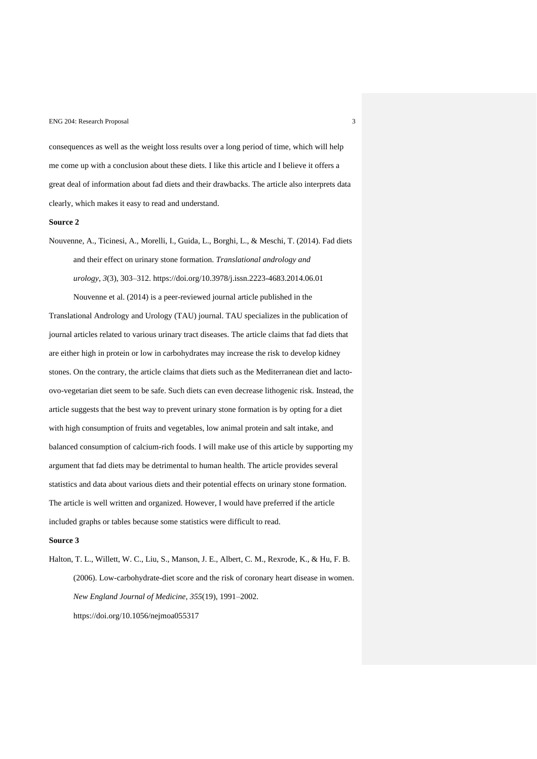consequences as well as the weight loss results over a long period of time, which will help me come up with a conclusion about these diets. I like this article and I believe it offers a great deal of information about fad diets and their drawbacks. The article also interprets data clearly, which makes it easy to read and understand.

### **Source 2**

Nouvenne, A., Ticinesi, A., Morelli, I., Guida, L., Borghi, L., & Meschi, T. (2014). Fad diets and their effect on urinary stone formation. *Translational andrology and urology*, *3*(3), 303–312. https://doi.org/10.3978/j.issn.2223-4683.2014.06.01 Nouvenne et al. (2014) is a peer-reviewed journal article published in the

Translational Andrology and Urology (TAU) journal. TAU specializes in the publication of journal articles related to various urinary tract diseases. The article claims that fad diets that are either high in protein or low in carbohydrates may increase the risk to develop kidney stones. On the contrary, the article claims that diets such as the Mediterranean diet and lactoovo-vegetarian diet seem to be safe. Such diets can even decrease lithogenic risk. Instead, the article suggests that the best way to prevent urinary stone formation is by opting for a diet with high consumption of fruits and vegetables, low animal protein and salt intake, and balanced consumption of calcium-rich foods. I will make use of this article by supporting my argument that fad diets may be detrimental to human health. The article provides several statistics and data about various diets and their potential effects on urinary stone formation. The article is well written and organized. However, I would have preferred if the article included graphs or tables because some statistics were difficult to read.

### **Source 3**

Halton, T. L., Willett, W. C., Liu, S., Manson, J. E., Albert, C. M., Rexrode, K., & Hu, F. B. (2006). Low-carbohydrate-diet score and the risk of coronary heart disease in women. *New England Journal of Medicine*, *355*(19), 1991–2002. https://doi.org/10.1056/nejmoa055317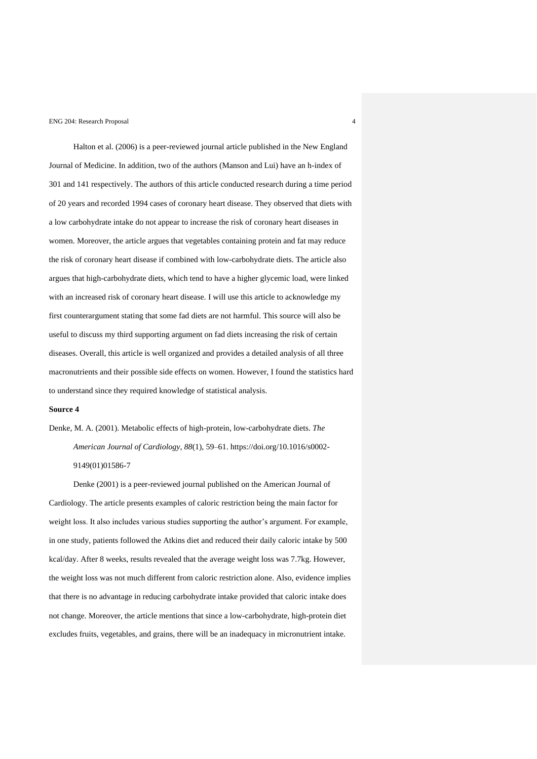Halton et al. (2006) is a peer-reviewed journal article published in the New England Journal of Medicine. In addition, two of the authors (Manson and Lui) have an h-index of 301 and 141 respectively. The authors of this article conducted research during a time period of 20 years and recorded 1994 cases of coronary heart disease. They observed that diets with a low carbohydrate intake do not appear to increase the risk of coronary heart diseases in women. Moreover, the article argues that vegetables containing protein and fat may reduce the risk of coronary heart disease if combined with low-carbohydrate diets. The article also argues that high-carbohydrate diets, which tend to have a higher glycemic load, were linked with an increased risk of coronary heart disease. I will use this article to acknowledge my first counterargument stating that some fad diets are not harmful. This source will also be useful to discuss my third supporting argument on fad diets increasing the risk of certain diseases. Overall, this article is well organized and provides a detailed analysis of all three macronutrients and their possible side effects on women. However, I found the statistics hard to understand since they required knowledge of statistical analysis.

## **Source 4**

Denke, M. A. (2001). Metabolic effects of high-protein, low-carbohydrate diets. *The American Journal of Cardiology*, *88*(1), 59–61. https://doi.org/10.1016/s0002- 9149(01)01586-7

Denke (2001) is a peer-reviewed journal published on the American Journal of Cardiology. The article presents examples of caloric restriction being the main factor for weight loss. It also includes various studies supporting the author's argument. For example, in one study, patients followed the Atkins diet and reduced their daily caloric intake by 500 kcal/day. After 8 weeks, results revealed that the average weight loss was 7.7kg. However, the weight loss was not much different from caloric restriction alone. Also, evidence implies that there is no advantage in reducing carbohydrate intake provided that caloric intake does not change. Moreover, the article mentions that since a low-carbohydrate, high-protein diet excludes fruits, vegetables, and grains, there will be an inadequacy in micronutrient intake.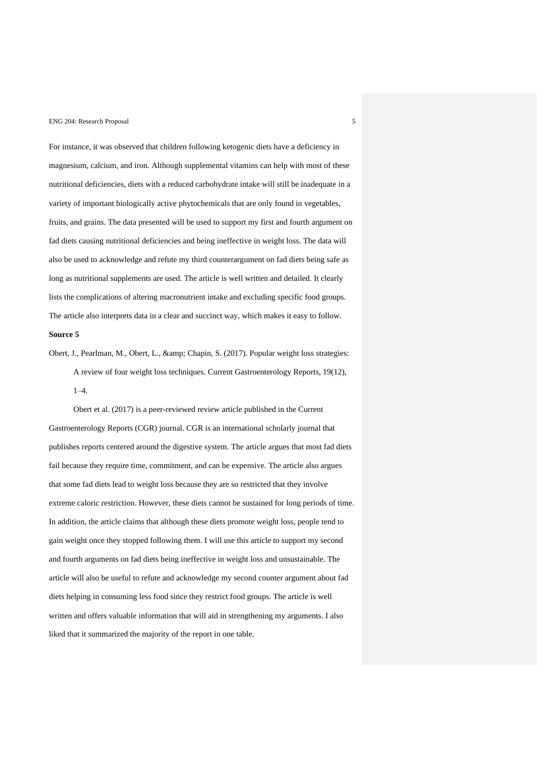For instance, it was observed that children following ketogenic diets have a deficiency in magnesium, calcium, and iron. Although supplemental vitamins can help with most of these nutritional deficiencies, diets with a reduced carbohydrate intake will still be inadequate in a variety of important biologically active phytochemicals that are only found in vegetables, fruits, and grains. The data presented will be used to support my first and fourth argument on fad diets causing nutritional deficiencies and being ineffective in weight loss. The data will also be used to acknowledge and refute my third counterargument on fad diets being safe as long as nutritional supplements are used. The article is well written and detailed. It clearly lists the complications of altering macronutrient intake and excluding specific food groups. The article also interprets data in a clear and succinct way, which makes it easy to follow. **Source 5**

Obert, J., Pearlman, M., Obert, L., & amp; Chapin, S. (2017). Popular weight loss strategies: A review of four weight loss techniques. Current Gastroenterology Reports, 19(12), 1–4.

Obert et al. (2017) is a peer-reviewed review article published in the Current Gastroenterology Reports (CGR) journal. CGR is an international scholarly journal that publishes reports centered around the digestive system. The article argues that most fad diets fail because they require time, commitment, and can be expensive. The article also argues that some fad diets lead to weight loss because they are so restricted that they involve extreme caloric restriction. However, these diets cannot be sustained for long periods of time. In addition, the article claims that although these diets promote weight loss, people tend to gain weight once they stopped following them. I will use this article to support my second and fourth arguments on fad diets being ineffective in weight loss and unsustainable. The article will also be useful to refute and acknowledge my second counter argument about fad diets helping in consuming less food since they restrict food groups. The article is well written and offers valuable information that will aid in strengthening my arguments. I also liked that it summarized the majority of the report in one table.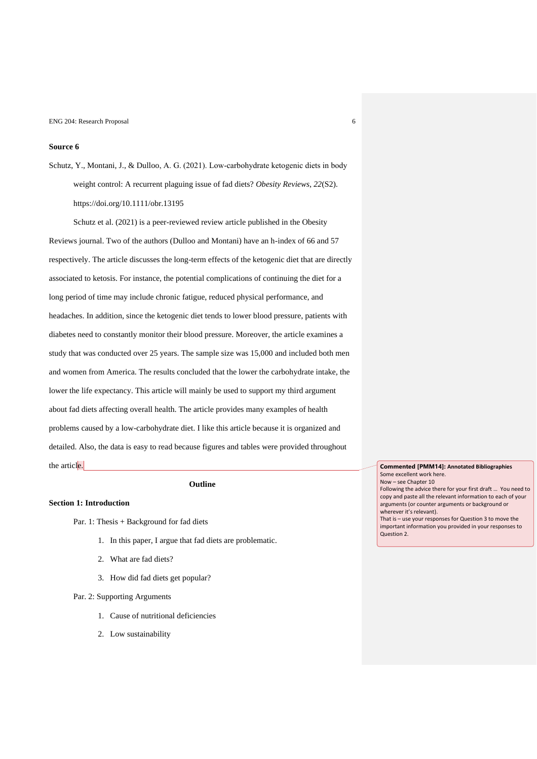## **Source 6**

Schutz, Y., Montani, J., & Dulloo, A. G. (2021). Low‐carbohydrate ketogenic diets in body weight control: A recurrent plaguing issue of fad diets? *Obesity Reviews*, *22*(S2). https://doi.org/10.1111/obr.13195

Schutz et al. (2021) is a peer-reviewed review article published in the Obesity Reviews journal. Two of the authors (Dulloo and Montani) have an h-index of 66 and 57 respectively. The article discusses the long-term effects of the ketogenic diet that are directly associated to ketosis. For instance, the potential complications of continuing the diet for a long period of time may include chronic fatigue, reduced physical performance, and headaches. In addition, since the ketogenic diet tends to lower blood pressure, patients with diabetes need to constantly monitor their blood pressure. Moreover, the article examines a study that was conducted over 25 years. The sample size was 15,000 and included both men and women from America. The results concluded that the lower the carbohydrate intake, the lower the life expectancy. This article will mainly be used to support my third argument about fad diets affecting overall health. The article provides many examples of health problems caused by a low-carbohydrate diet. I like this article because it is organized and detailed. Also, the data is easy to read because figures and tables were provided throughout the article.

## **Outline**

## **Section 1: Introduction**

- Par. 1: Thesis + Background for fad diets
	- 1. In this paper, I argue that fad diets are problematic.
	- 2. What are fad diets?
	- 3. How did fad diets get popular?
- Par. 2: Supporting Arguments
	- 1. Cause of nutritional deficiencies
	- 2. Low sustainability

**Commented [PMM14]: Annotated Bibliographies** Some excellent work here. Now – see Chapter 10 Following the advice there for your first draft … You need to copy and paste all the relevant information to each of your arguments (or counter arguments or background or wherever it's relevant).

That is – use your responses for Question 3 to move the important information you provided in your responses to Question 2.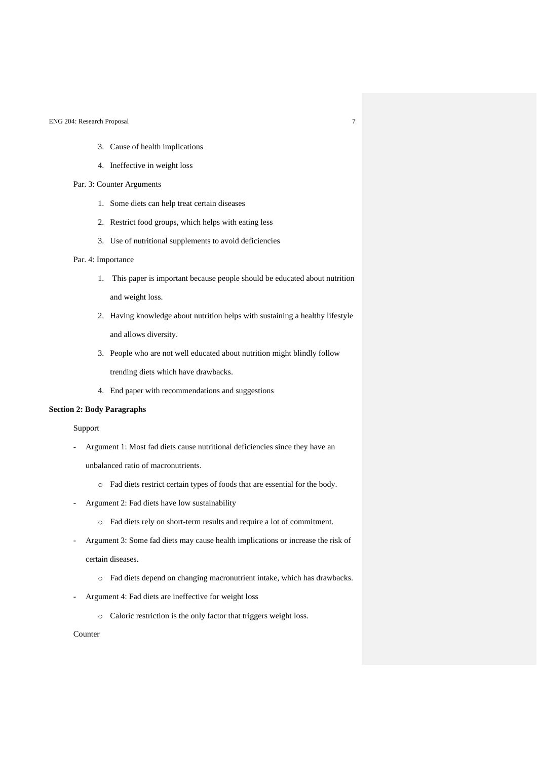- 3. Cause of health implications
- 4. Ineffective in weight loss
- Par. 3: Counter Arguments
	- 1. Some diets can help treat certain diseases
	- 2. Restrict food groups, which helps with eating less
	- 3. Use of nutritional supplements to avoid deficiencies

## Par. 4: Importance

- 1. This paper is important because people should be educated about nutrition and weight loss.
- 2. Having knowledge about nutrition helps with sustaining a healthy lifestyle and allows diversity.
- 3. People who are not well educated about nutrition might blindly follow trending diets which have drawbacks.
- 4. End paper with recommendations and suggestions

## **Section 2: Body Paragraphs**

Support

- Argument 1: Most fad diets cause nutritional deficiencies since they have an

unbalanced ratio of macronutrients.

- o Fad diets restrict certain types of foods that are essential for the body.
- Argument 2: Fad diets have low sustainability
	- o Fad diets rely on short-term results and require a lot of commitment.
- Argument 3: Some fad diets may cause health implications or increase the risk of certain diseases.
	- o Fad diets depend on changing macronutrient intake, which has drawbacks.
- Argument 4: Fad diets are ineffective for weight loss
	- o Caloric restriction is the only factor that triggers weight loss.

Counter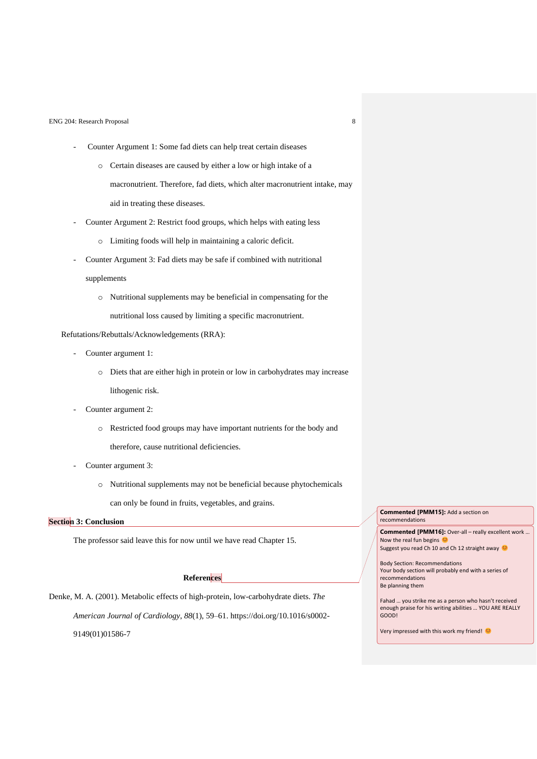- Counter Argument 1: Some fad diets can help treat certain diseases
	- o Certain diseases are caused by either a low or high intake of a macronutrient. Therefore, fad diets, which alter macronutrient intake, may aid in treating these diseases.
- Counter Argument 2: Restrict food groups, which helps with eating less
	- o Limiting foods will help in maintaining a caloric deficit.
- Counter Argument 3: Fad diets may be safe if combined with nutritional

### supplements

o Nutritional supplements may be beneficial in compensating for the nutritional loss caused by limiting a specific macronutrient.

## Refutations/Rebuttals/Acknowledgements (RRA):

- Counter argument 1:
	- o Diets that are either high in protein or low in carbohydrates may increase lithogenic risk.
- Counter argument 2:
	- o Restricted food groups may have important nutrients for the body and therefore, cause nutritional deficiencies.
- Counter argument 3:
	- o Nutritional supplements may not be beneficial because phytochemicals can only be found in fruits, vegetables, and grains.

## **Section 3: Conclusion**

The professor said leave this for now until we have read Chapter 15.

# **References**

Denke, M. A. (2001). Metabolic effects of high-protein, low-carbohydrate diets. *The American Journal of Cardiology*, *88*(1), 59–61. https://doi.org/10.1016/s0002- 9149(01)01586-7

**Commented [PMM15]:** Add a section on recommendations

**Commented [PMM16]:** Over-all – really excellent work … Now the real fun begins Suggest you read Ch 10 and Ch 12 straight away

Body Section: Recommendations Your body section will probably end with a series of recommendations Be planning them

Fahad … you strike me as a person who hasn't received enough praise for his writing abilities … YOU ARE REALLY GOOD!

Very impressed with this work my friend!